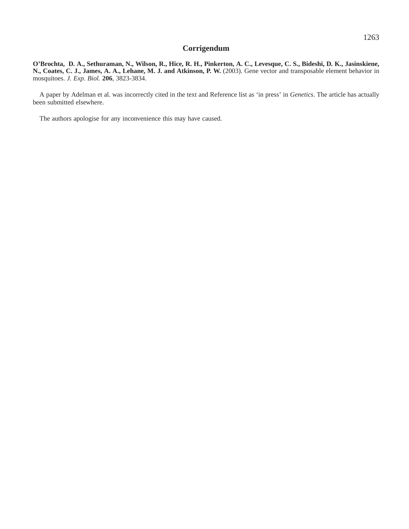# **Corrigendum**

**O'Brochta, D. A., Sethuraman, N., Wilson, R., Hice, R. H., Pinkerton, A. C., Levesque, C. S., Bideshi, D. K., Jasinskiene, N., Coates, C. J., James, A. A., Lehane, M. J. and Atkinson, P. W.** (2003). Gene vector and transposable element behavior in mosquitoes. *J. Exp. Biol.* **206**, 3823-3834.

A paper by Adelman et al. was incorrectly cited in the text and Reference list as 'in press' in *Genetics*. The article has actually been submitted elsewhere.

The authors apologise for any inconvenience this may have caused.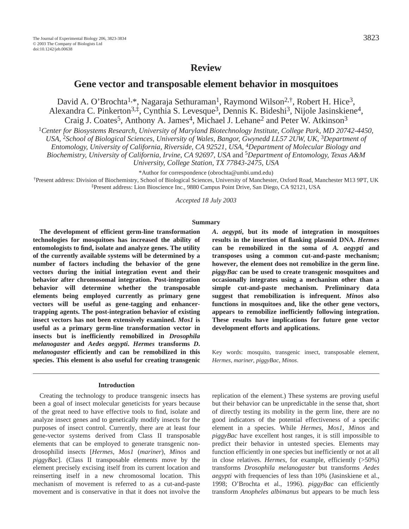# **Review**

# **Gene vector and transposable element behavior in mosquitoes**

David A. O'Brochta<sup>1,\*</sup>, Nagaraja Sethuraman<sup>1</sup>, Raymond Wilson<sup>2,†</sup>, Robert H. Hice<sup>3</sup>, Alexandra C. Pinkerton<sup>3,‡</sup>, Cynthia S. Levesque<sup>3</sup>, Dennis K. Bideshi<sup>3</sup>, Nijole Jasinskiene<sup>4</sup>, Craig J. Coates<sup>5</sup>, Anthony A. James<sup>4</sup>, Michael J. Lehane<sup>2</sup> and Peter W. Atkinson<sup>3</sup>

<sup>1</sup>*Center for Biosystems Research, University of Maryland Biotechnology Institute, College Park, MD 20742-4450, USA,* <sup>2</sup>*School of Biological Sciences, University of Wales, Bangor, Gwynedd LL57 2UW, UK,* <sup>3</sup>*Department of*

*Entomology, University of California, Riverside, CA 92521, USA,* 4*Department of Molecular Biology and*

*Biochemistry, University of California, Irvine, CA 92697, USA* and 5*Department of Entomology, Texas A&M*

*University, College Station, TX 77843-2475, USA*

\*Author for correspondence (obrochta@umbi.umd.edu)

†Present address: Division of Biochemistry, School of Biological Sciences, University of Manchester, Oxford Road, Manchester M13 9PT, UK ‡Present address: Lion Bioscience Inc., 9880 Campus Point Drive, San Diego, CA 92121, USA

*Accepted 18 July 2003*

#### **Summary**

**The development of efficient germ-line transformation technologies for mosquitoes has increased the ability of entomologists to find, isolate and analyze genes. The utility of the currently available systems will be determined by a number of factors including the behavior of the gene vectors during the initial integration event and their behavior after chromosomal integration. Post-integration behavior will determine whether the transposable elements being employed currently as primary gene vectors will be useful as gene-tagging and enhancertrapping agents. The post-integration behavior of existing insect vectors has not been extensively examined.** *Mos1* **is useful as a primary germ-line transformation vector in insects but is inefficiently remobilized in** *Drosophila melanogaster* **and** *Aedes aegypti***.** *Hermes* **transforms** *D***.** *melanogaster* **efficiently and can be remobilized in this species. This element is also useful for creating transgenic**

## **Introduction**

Creating the technology to produce transgenic insects has been a goal of insect molecular geneticists for years because of the great need to have effective tools to find, isolate and analyze insect genes and to genetically modify insects for the purposes of insect control. Currently, there are at least four gene-vector systems derived from Class II transposable elements that can be employed to generate transgenic nondrosophilid insects [*Hermes*, *Mos1* (*mariner*), *Minos* and *piggyBac*]. (Class II transposable elements move by the element precisely excising itself from its current location and reinserting itself in a new chromosomal location. This mechanism of movement is referred to as a cut-and-paste movement and is conservative in that it does not involve the

*A***.** *aegypti***, but its mode of integration in mosquitoes results in the insertion of flanking plasmid DNA.** *Hermes* **can be remobilized in the soma of** *A. aegypti* **and transposes using a common cut-and-paste mechanism; however, the element does not remobilize in the germ line.** *piggyBac* **can be used to create transgenic mosquitoes and occasionally integrates using a mechanism other than a simple cut-and-paste mechanism. Preliminary data suggest that remobilization is infrequent.** *Minos* **also functions in mosquitoes and, like the other gene vectors, appears to remobilize inefficiently following integration. These results have implications for future gene vector development efforts and applications.**

Key words: mosquito, transgenic insect, transposable element, *Hermes*, *mariner*, *piggyBac*, *Minos*.

replication of the element.) These systems are proving useful but their behavior can be unpredictable in the sense that, short of directly testing its mobility in the germ line, there are no good indicators of the potential effectiveness of a specific element in a species. While *Hermes*, *Mos1*, *Minos* and *piggyBac* have excellent host ranges, it is still impossible to predict their behavior in untested species. Elements may function efficiently in one species but inefficiently or not at all in close relatives. *Hermes*, for example, efficiently (>50%) transforms *Drosophila melanogaster* but transforms *Aedes aegypti* with frequencies of less than 10% (Jasinskiene et al., 1998; O'Brochta et al., 1996). *piggyBac* can efficiently transform *Anopheles albimanus* but appears to be much less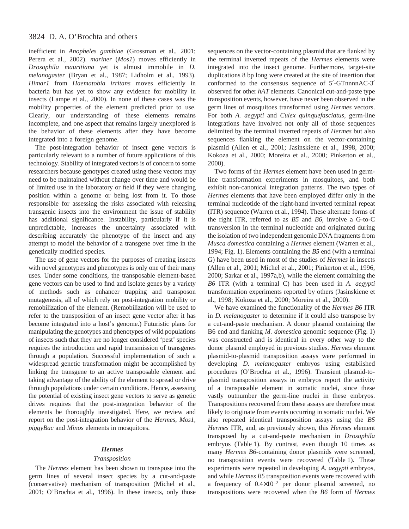inefficient in *Anopheles gambiae* (Grossman et al., 2001; Perera et al., 2002). *mariner* (*Mos1*) moves efficiently in *Drosophila mauritiana* yet is almost immobile in *D. melanogaster* (Bryan et al., 1987; Lidholm et al., 1993). *Himar1* from *Haematobia irritans* moves efficiently in bacteria but has yet to show any evidence for mobility in insects (Lampe et al., 2000). In none of these cases was the mobility properties of the element predicted prior to use. Clearly, our understanding of these elements remains incomplete, and one aspect that remains largely unexplored is the behavior of these elements after they have become integrated into a foreign genome.

The post-integration behavior of insect gene vectors is particularly relevant to a number of future applications of this technology. Stability of integrated vectors is of concern to some researchers because genotypes created using these vectors may need to be maintained without change over time and would be of limited use in the laboratory or field if they were changing position within a genome or being lost from it. To those responsible for assessing the risks associated with releasing transgenic insects into the environment the issue of stability has additional significance. Instability, particularly if it is unpredictable, increases the uncertainty associated with describing accurately the phenotype of the insect and any attempt to model the behavior of a transgene over time in the genetically modified species.

The use of gene vectors for the purposes of creating insects with novel genotypes and phenotypes is only one of their many uses. Under some conditions, the transposable element-based gene vectors can be used to find and isolate genes by a variety of methods such as enhancer trapping and transposon mutagenesis, all of which rely on post-integration mobility or remobilization of the element. (Remobilization will be used to refer to the transposition of an insect gene vector after it has become integrated into a host's genome.) Futuristic plans for manipulating the genotypes and phenotypes of wild populations of insects such that they are no longer considered 'pest' species requires the introduction and rapid transmission of transgenes through a population. Successful implementation of such a widespread genetic transformation might be accomplished by linking the transgene to an active transposable element and taking advantage of the ability of the element to spread or drive through populations under certain conditions. Hence, assessing the potential of existing insect gene vectors to serve as genetic drives requires that the post-integration behavior of the elements be thoroughly investigated. Here, we review and report on the post-integration behavior of the *Hermes*, *Mos1*, *piggyBac* and *Minos* elements in mosquitoes.

## *Hermes*

## *Transposition*

The *Hermes* element has been shown to transpose into the germ lines of several insect species by a cut-and-paste (conservative) mechanism of transposition (Michel et al., 2001; O'Brochta et al., 1996). In these insects, only those

sequences on the vector-containing plasmid that are flanked by the terminal inverted repeats of the *Hermes* elements were integrated into the insect genome. Furthermore, target-site duplications 8 bp long were created at the site of insertion that conformed to the consensus sequence of 5′-GTnnnnAC-3′ observed for other *hAT* elements. Canonical cut-and-paste type transposition events, however, have never been observed in the germ lines of mosquitoes transformed using *Hermes* vectors. For both *A. aegypti* and *Culex quinquefasciatus*, germ-line integrations have involved not only all of those sequences delimited by the terminal inverted repeats of *Hermes* but also sequences flanking the element on the vector-containing plasmid (Allen et al., 2001; Jasinskiene et al., 1998, 2000; Kokoza et al., 2000; Moreira et al., 2000; Pinkerton et al., 2000).

Two forms of the *Hermes* element have been used in germline transformation experiments in mosquitoes, and both exhibit non-canonical integration patterns. The two types of *Hermes* elements that have been employed differ only in the terminal nucleotide of the right-hand inverted terminal repeat (ITR) sequence (Warren et al., 1994). These alternate forms of the right ITR, referred to as *B5* and *B6*, involve a G-to-C transversion in the terminal nucleotide and originated during the isolation of two independent genomic DNA fragments from *Musca domestica* containing a *Hermes* element (Warren et al., 1994; Fig. 1). Elements containing the *B5* end (with a terminal G) have been used in most of the studies of *Hermes* in insects (Allen et al., 2001; Michel et al., 2001; Pinkerton et al., 1996, 2000; Sarkar et al., 1997a,b), while the element containing the *B6* ITR (with a terminal C) has been used in *A. aegypti* transformation experiments reported by others (Jasinskiene et al., 1998; Kokoza et al., 2000; Moreira et al., 2000).

We have examined the functionality of the *Hermes B6* ITR in *D. melanogaster* to determine if it could also transpose by a cut-and-paste mechanism. A donor plasmid containing the B6 end and flanking *M. domestica* genomic sequence (Fig. 1) was constructed and is identical in every other way to the donor plasmid employed in previous studies. *Hermes* element plasmid-to-plasmid transposition assays were performed in developing *D. melanogaster* embryos using established procedures (O'Brochta et al., 1996). Transient plasmid-toplasmid transposition assays in embryos report the activity of a transposable element in somatic nuclei, since these vastly outnumber the germ-line nuclei in these embryos. Transpositions recovered from these assays are therefore most likely to originate from events occurring in somatic nuclei. We also repeated identical transposition assays using the *B5 Hermes* ITR, and, as previously shown, this *Hermes* element transposed by a cut-and-paste mechanism in *Drosophila* embryos (Table 1). By contrast, even though 10 times as many *Hermes B6-*containing donor plasmids were screened, no transposition events were recovered (Table 1). These experiments were repeated in developing *A. aegypti* embryos, and while *Hermes B5* transposition events were recovered with a frequency of  $0.4 \times 10^{-2}$  per donor plasmid screened, no transpositions were recovered when the *B6* form of *Hermes*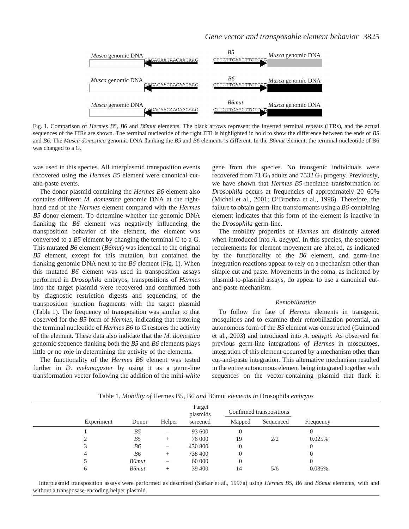

Fig. 1. Comparison of *Hermes B5*, *B6* and *B6mut* elements. The black arrows represent the inverted terminal repeats (ITRs), and the actual sequences of the ITRs are shown. The terminal nucleotide of the right ITR is highlighted in bold to show the difference between the ends of *B5* and *B6*. The *Musca domestica* genomic DNA flanking the *B5* and *B6* elements is different. In the *B6mut* element, the terminal nucleotide of B6 was changed to a G.

was used in this species. All interplasmid transposition events recovered using the *Hermes B5* element were canonical cutand-paste events.

The donor plasmid containing the *Hermes B6* element also contains different *M. domestica* genomic DNA at the righthand end of the *Hermes* element compared with the *Hermes B5* donor element. To determine whether the genomic DNA flanking the *B6* element was negatively influencing the transposition behavior of the element, the element was converted to a *B5* element by changing the terminal C to a G. This mutated *B6* element (*B6mut*) was identical to the original *B5* element, except for this mutation, but contained the flanking genomic DNA next to the *B6* element (Fig. 1). When this mutated *B6* element was used in transposition assays performed in *Drosophila* embryos, transpositions of *Hermes* into the target plasmid were recovered and confirmed both by diagnostic restriction digests and sequencing of the transposition junction fragments with the target plasmid (Table 1). The frequency of transposition was similar to that observed for the *B5* form of *Hermes*, indicating that restoring the terminal nucleotide of *Hermes B6* to G restores the activity of the element. These data also indicate that the *M. domestica* genomic sequence flanking both the *B5* and *B6* elements plays little or no role in determining the activity of the elements.

The functionality of the *Hermes B6* element was tested further in *D. melanogaster* by using it as a germ-line transformation vector following the addition of the mini-*white* gene from this species. No transgenic individuals were recovered from 71  $G_0$  adults and 7532  $G_1$  progeny. Previously, we have shown that *Hermes B5*-mediated transformation of *Drosophila* occurs at frequencies of approximately 20–60% (Michel et al., 2001; O'Brochta et al., 1996). Therefore, the failure to obtain germ-line transformants using a *B6*-containing element indicates that this form of the element is inactive in the *Drosophila* germ-line.

The mobility properties of *Hermes* are distinctly altered when introduced into *A*. *aegypti*. In this species, the sequence requirements for element movement are altered, as indicated by the functionality of the *B6* element, and germ-line integration reactions appear to rely on a mechanism other than simple cut and paste. Movements in the soma, as indicated by plasmid-to-plasmid assays, do appear to use a canonical cutand-paste mechanism.

#### *Remobilization*

To follow the fate of *Hermes* elements in transgenic mosquitoes and to examine their remobilization potential, an autonomous form of the *B5* element was constructed (Guimond et al., 2003) and introduced into *A. aegypti.* As observed for previous germ-line integrations of *Hermes* in mosquitoes, integration of this element occurred by a mechanism other than cut-and-paste integration. This alternative mechanism resulted in the entire autonomous element being integrated together with sequences on the vector-containing plasmid that flank it

|            |              |                          | Target<br>plasmids | Confirmed transpositions |           |           |
|------------|--------------|--------------------------|--------------------|--------------------------|-----------|-----------|
| Experiment | Donor        | Helper                   | screened           | Mapped                   | Sequenced | Frequency |
|            | B5           | —                        | 93 600             |                          |           | $\theta$  |
|            | B5           | $^+$                     | 76 000             | 19                       | 2/2       | 0.025%    |
|            | <b>B6</b>    | $\overline{\phantom{m}}$ | 430 800            |                          |           | $\theta$  |
|            | <b>B6</b>    | $^+$                     | 738 400            |                          |           | $\theta$  |
|            | <b>B6mut</b> | —                        | 60 000             |                          |           | $\theta$  |
|            | <b>B6mut</b> |                          | 39 400             | 14                       | 5/6       | 0.036%    |
|            |              |                          |                    |                          |           |           |

Table 1. *Mobility of* Hermes B5*,* B6 *and* B6mut *elements in* Drosophila *embryos*

Interplasmid transposition assays were performed as described (Sarkar et al., 1997a) using *Hermes B5*, *B6* and *B6mut* elements, with and without a transposase-encoding helper plasmid.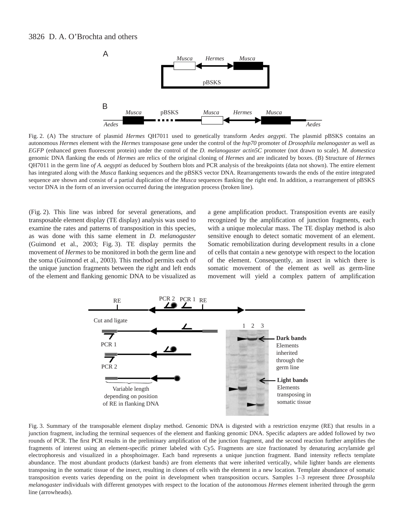

Fig. 2. (A) The structure of plasmid *Hermes* QH7011 used to genetically transform *Aedes aegypti*. The plasmid pBSKS contains an autonomous *Hermes* element with the *Hermes* transposase gene under the control of the *hsp70* promoter of *Drosophila melanogaster* as well as *EGFP* (enhanced green fluorescent protein) under the control of the *D. melanogaster actin5C* promoter (not drawn to scale). *M. domestica* genomic DNA flanking the ends of *Hermes* are relics of the original cloning of *Hermes* and are indicated by boxes. (B) Structure of *Hermes* QH7011 in the germ line *of A. aegypti* as deduced by Southern blots and PCR analysis of the breakpoints (data not shown). The entire element has integrated along with the *Musca* flanking sequences and the pBSKS vector DNA. Rearrangements towards the ends of the entire integrated sequence are shown and consist of a partial duplication of the *Musca* sequences flanking the right end. In addition, a rearrangement of pBSKS vector DNA in the form of an inversion occurred during the integration process (broken line).

(Fig. 2). This line was inbred for several generations, and transposable element display (TE display) analysis was used to examine the rates and patterns of transposition in this species, as was done with this same element in *D. melanogaster* (Guimond et al., 2003; Fig. 3). TE display permits the movement of *Hermes* to be monitored in both the germ line and the soma (Guimond et al., 2003). This method permits each of the unique junction fragments between the right and left ends of the element and flanking genomic DNA to be visualized as a gene amplification product. Transposition events are easily recognized by the amplification of junction fragments, each with a unique molecular mass. The TE display method is also sensitive enough to detect somatic movement of an element. Somatic remobilization during development results in a clone of cells that contain a new genotype with respect to the location of the element. Consequently, an insect in which there is somatic movement of the element as well as germ-line movement will yield a complex pattern of amplification



Fig. 3. Summary of the transposable element display method. Genomic DNA is digested with a restriction enzyme (RE) that results in a junction fragment, including the terminal sequences of the element and flanking genomic DNA. Specific adapters are added followed by two rounds of PCR. The first PCR results in the preliminary amplification of the junction fragment, and the second reaction further amplifies the fragments of interest using an element-specific primer labeled with Cy5. Fragments are size fractionated by denaturing acrylamide gel electrophoresis and visualized in a phosphoimager. Each band represents a unique junction fragment. Band intensity reflects template abundance. The most abundant products (darkest bands) are from elements that were inherited vertically, while lighter bands are elements transposing in the somatic tissue of the insect, resulting in clones of cells with the element in a new location. Template abundance of somatic transposition events varies depending on the point in development when transposition occurs. Samples 1–3 represent three *Drosophila melanogaster* individuals with different genotypes with respect to the location of the autonomous *Hermes* element inherited through the germ line (arrowheads).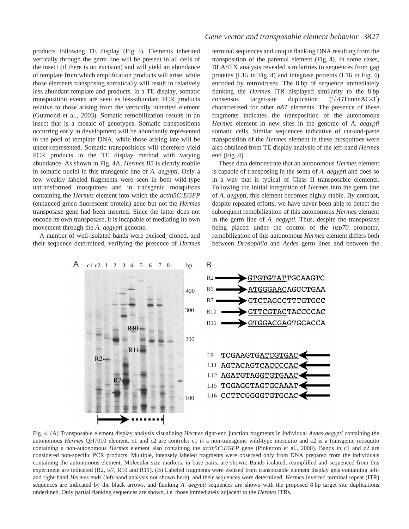products following TE display (Fig. 3). Elements inherited vertically through the germ line will be present in all cells of the insect (if there is no excision) and will yield an abundance of template from which amplification products will arise, while those elements transposing somatically will result in relatively less abundant template and products. In a TE display, somatic transposition events are seen as less-abundant PCR products relative to those arising from the vertically inherited element (Guimond et al., 2003). Somatic remobilization results in an insect that is a mosaic of genotypes. Somatic transpositions occurring early in development will be abundantly represented in the pool of template DNA, while those arising late will be under-represented. Somatic transpositions will therefore yield PCR products in the TE display method with varying abundance. As shown in Fig. 4A, *Hermes B5* is clearly mobile in somatic nuclei in this transgenic line of *A. aegypti*. Only a few weakly labeled fragments were seen in both wild-type untransformed mosquitoes and in transgenic mosquitoes containing the *Hermes* element into which the *actin5C:EGFP* (enhanced green fluorescent protein) gene but not the *Hermes* transposase gene had been inserted. Since the latter does not encode its own transposase, it is incapable of mediating its own movement through the *A. aegypti* genome.

A number of well-isolated bands were excised, cloned, and their sequence determined, verifying the presence of *Hermes*

terminal sequences and unique flanking DNA resulting from the transposition of the parental element (Fig. 4). In some cases, BLASTX analysis revealed similarities to sequences from gag proteins  $(L15 \text{ in Fig. 4})$  and integrase proteins  $(L16 \text{ in Fig. 4})$ encoded by retroviruses. The 8 bp of sequence immediately flanking the *Hermes* ITR displayed similarity to the 8 bp consensus target-site duplication (5′-GTnnnnAC-3′) characterized for other *hAT* elements. The presence of these fragments indicates the transposition of the autonomous *Hermes* element in new sites in the genome of *A. aegypti* somatic cells. Similar sequences indicative of cut-and-paste transposition of the *Hermes* element in these mosquitoes were also obtained from TE display analysis of the left-hand *Hermes* end  $(Fig. 4)$ .

These data demonstrate that an autonomous *Hermes* element is capable of transposing in the soma of *A. aegypti* and does so in a way that is typical of Class II transposable elements. Following the initial integration of *Hermes* into the germ line of *A. aegypti*, this element becomes highly stable. By contrast, despite repeated efforts, we have never been able to detect the subsequent remobilization of this autonomous *Hermes* element in the germ line of *A. aegypti*. Thus, despite the transposase being placed under the control of the *hsp70* promoter, remobilization of this autonomous *Hermes* element differs both between *Drosophila* and *Aedes* germ lines and between the



Fig. 4. (A) Transposable element display analysis visualizing *Hermes* right-end junction fragments in individual *Aedes aegypti* containing the autonomous *Hermes* QH7010 element. c1 and c2 are controls: c1 is a non-transgenic wild-type mosquito and c2 is a transgenic mosquito containing a non-autonomous *Hermes* element also containing the *actin5C:EGFP* gene (Pinkerton et al., 2000). Bands in c1 and c2 are considered non-specific PCR products. Multiple, intensely labeled fragments were observed only from DNA prepared from the individuals containing the autonomous element. Molecular size markers, in base pairs, are shown. Bands isolated, reamplified and sequenced from this experiment are indicated (R2, R7, R10 and R11). (B) Labeled fragments were excised from transposable element display gels containing leftand right-hand *Hermes* ends (left-hand analysis not shown here), and their sequences were determined. *Hermes* inverted terminal repeat (ITR) sequences are indicated by the black arrows, and flanking *A. aegypti* sequences are shown with the proposed 8 bp target site duplications underlined. Only partial flanking sequences are shown, i.e. those immediately adjacent to the *Hermes* ITRs.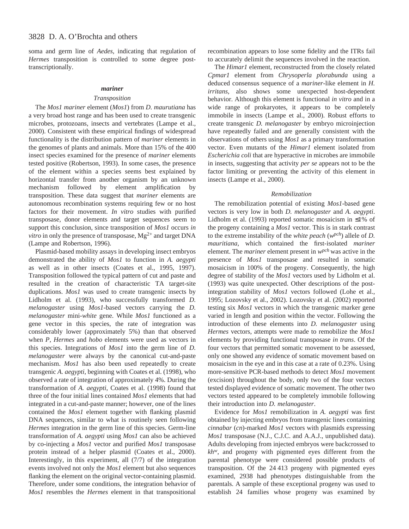soma and germ line of *Aedes*, indicating that regulation of *Hermes* transposition is controlled to some degree posttranscriptionally.

## *mariner*

### *Transposition*

The *Mos1 mariner* element (*Mos1*) from *D. maurutiana* has a very broad host range and has been used to create transgenic microbes, protozoans, insects and vertebrates (Lampe et al., 2000). Consistent with these empirical findings of widespread functionality is the distribution pattern of *mariner* elements in the genomes of plants and animals. More than 15% of the 400 insect species examined for the presence of *mariner* elements tested positive (Robertson, 1993). In some cases, the presence of the element within a species seems best explained by horizontal transfer from another organism by an unknown mechanism followed by element amplification by transposition. These data suggest that *mariner* elements are autonomous recombination systems requiring few or no host factors for their movement. *In vitro* studies with purified transposase, donor elements and target sequences seem to support this conclusion, since transposition of *Mos1* occurs *in vitro* in only the presence of transposase,  $Mg^{2+}$  and target DNA (Lampe and Robertson, 1996).

Plasmid-based mobility assays in developing insect embryos demonstrated the ability of *Mos1* to function in *A. aegypti* as well as in other insects (Coates et al., 1995, 1997). Transposition followed the typical pattern of cut and paste and resulted in the creation of characteristic TA target-site duplications. *Mos1* was used to create transgenic insects by Lidholm et al. (1993), who successfully transformed *D. melanogaster* using *Mos1*-based vectors carrying the *D. melanogaster* mini-*white* gene. While *Mos1* functioned as a gene vector in this species, the rate of integration was considerably lower (approximately 5%) than that observed when *P*, *Hermes* and *hobo* elements were used as vectors in this species. Integrations of *Mos1* into the germ line of *D. melanogaster* were always by the canonical cut-and-paste mechanism. *Mos1* has also been used repeatedly to create transgenic *A. aegypti*, beginning with Coates et al. (1998), who observed a rate of integration of approximately 4%. During the transformation of *A. aegypti*, Coates et al. (1998) found that three of the four initial lines contained *Mos1* elements that had integrated in a cut-and-paste manner; however, one of the lines contained the *Mos1* element together with flanking plasmid DNA sequences, similar to what is routinely seen following *Hermes* integration in the germ line of this species. Germ-line transformation of *A. aegypti* using *Mos1* can also be achieved by co-injecting a *Mos1* vector and purified *Mos1* transposase protein instead of a helper plasmid (Coates et al., 2000). Interestingly, in this experiment, all (7/7) of the integration events involved not only the *Mos1* element but also sequences flanking the element on the original vector-containing plasmid. Therefore, under some conditions, the integration behavior of *Mos1* resembles the *Hermes* element in that transpositional recombination appears to lose some fidelity and the ITRs fail to accurately delimit the sequences involved in the reaction.

The *Himar1* element, reconstructed from the closely related *Cpmar1* element from *Chrysoperla plorabunda* using a deduced consensus sequence of a *mariner*-like element in *H. irritans*, also shows some unexpected host-dependent behavior. Although this element is functional *in vitro* and in a wide range of prokaryotes, it appears to be completely immobile in insects (Lampe et al., 2000). Robust efforts to create transgenic *D. melanogaster* by embryo microinjection have repeatedly failed and are generally consistent with the observations of others using *Mos1* as a primary transformation vector. Even mutants of the *Himar1* element isolated from *Escherichia coli* that are hyperactive in microbes are immobile in insects, suggesting that activity *per se* appears not to be the factor limiting or preventing the activity of this element in insects (Lampe et al., 2000).

#### *Remobilization*

The remobilization potential of existing *Mos1*-based gene vectors is very low in both *D. melanogaster* and *A. aegypti*. Lidholm et al. (1993) reported somatic mosaicism in ≤1% of the progeny containing a *Mos1* vector. This is in stark contrast to the extreme instability of the *white peach* (*wpch*) allele of *D. mauritiana*, which contained the first-isolated *mariner* element. The *mariner* element present in *wpch* was active in the presence of *Mos1* transposase and resulted in somatic mosaicism in 100% of the progeny. Consequently, the high degree of stability of the *Mos1* vectors used by Lidholm et al. (1993) was quite unexpected. Other descriptions of the postintegration stability of *Mos1* vectors followed (Lohe et al., 1995; Lozovsky et al., 2002). Lozovsky et al. (2002) reported testing six *Mos1* vectors in which the transgenic marker gene varied in length and position within the vector. Following the introduction of these elements into *D. melanogaster* using *Hermes* vectors, attempts were made to remobilize the *Mos1* elements by providing functional transposase *in trans*. Of the four vectors that permitted somatic movement to be assessed, only one showed any evidence of somatic movement based on mosaicism in the eye and in this case at a rate of 0.23%. Using more-sensitive PCR-based methods to detect *Mos1* movement (excision) throughout the body, only two of the four vectors tested displayed evidence of somatic movement. The other two vectors tested appeared to be completely immobile following their introduction into *D. melanogaster*.

Evidence for *Mos1* remobilization in *A. aegypti* was first obtained by injecting embryos from transgenic lines containing *cinnabar* (*cn*)-marked *Mos1* vectors with plasmids expressing *Mos1* transposase (N.J., C.J.C. and A.A.J., unpublished data). Adults developing from injected embryos were backcrossed to *khw*, and progeny with pigmented eyes different from the parental phenotype were considered possible products of transposition. Of the 24 413 progeny with pigmented eyes examined, 2938 had phenotypes distinguishable from the parentals. A sample of these exceptional progeny was used to establish 24 families whose progeny was examined by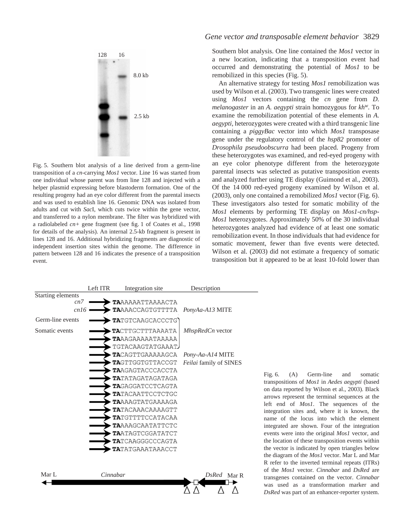

Fig. 5. Southern blot analysis of a line derived from a germ-line transposition of a *cn*-carrying *Mos1* vector. Line 16 was started from one individual whose parent was from line 128 and injected with a helper plasmid expressing before blastoderm formation. One of the resulting progeny had an eye color different from the parental insects and was used to establish line 16. Genomic DNA was isolated from adults and cut with *Sac*I, which cuts twice within the gene vector, and transferred to a nylon membrane. The filter was hybridized with a radiolabeled  $cn+$  gene fragment (see fig. 1 of Coates et al., 1998 for details of the analysis). An internal 2.5-kb fragment is present in lines 128 and 16. Additional hybridizing fragments are diagnostic of independent insertion sites within the genome. The difference in pattern between 128 and 16 indicates the presence of a transposition event.

## *Gene vector and transposable element behavior* 3829

Southern blot analysis. One line contained the *Mos1* vector in a new location, indicating that a transposition event had occurred and demonstrating the potential of *Mos1* to be remobilized in this species (Fig. 5).

An alternative strategy for testing *Mos1* remobilization was used by Wilson et al. (2003). Two transgenic lines were created using *Mos1* vectors containing the *cn* gene from *D. melanogaster* in an *A. aegypti* strain homozygous for *khw.* To examine the remobilization potential of these elements in *A. aegypti*, heterozygotes were created with a third transgenic line containing a *piggyBac* vector into which *Mos1* transposase gene under the regulatory control of the *hsp82* promoter of *Drosophila pseudoobscurra* had been placed. Progeny from these heterozygotes was examined, and red-eyed progeny with an eye color phenotype different from the heterozygote parental insects was selected as putative transposition events and analyzed further using TE display (Guimond et al., 2003). Of the 14 000 red-eyed progeny examined by Wilson et al. (2003), only one contained a remobilized *Mos1* vector (Fig. 6). These investigators also tested for somatic mobility of the *Mos1* elements by performing TE display on *Mos1-cn/hsp-Mos1* heterozygotes. Approximately 50% of the 30 individual heterozygotes analyzed had evidence of at least one somatic remobilization event. In those individuals that had evidence for somatic movement, fewer than five events were detected. Wilson et al. (2003) did not estimate a frequency of somatic transposition but it appeared to be at least 10-fold lower than



Fig. 6. (A) Germ-line and somatic transpositions of *Mos1* in *Aedes aegypti* (based on data reported by Wilson et al., 2003). Black arrows represent the terminal sequences at the left end of *Mos1*. The sequences of the integration sites and, where it is known, the name of the locus into which the element integrated are shown. Four of the integration events were into the original *Mos1* vector, and the location of these transposition events within the vector is indicated by open triangles below the diagram of the *Mos1* vector. Mar L and Mar R refer to the inverted terminal repeats (ITRs) of the *Mos1* vector. *Cinnabar* and *DsRed* are transgenes contained on the vector. *Cinnabar* was used as a transformation marker and *DsRed* was part of an enhancer-reporter system.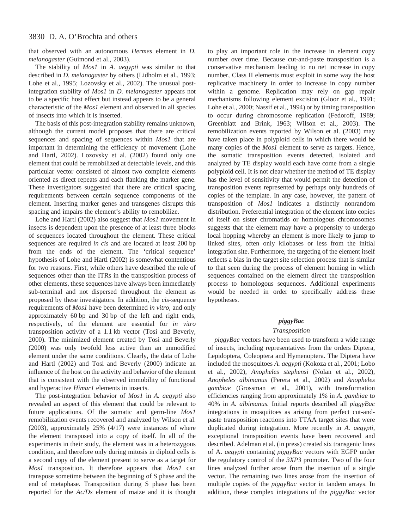that observed with an autonomous *Hermes* element in *D. melanogaster* (Guimond et al., 2003).

The stability of *Mos1* in *A. aegypti* was similar to that described in *D. melanogaster* by others (Lidholm et al., 1993; Lohe et al., 1995; Lozovsky et al., 2002). The unusual postintegration stability of *Mos1* in *D. melanogaster* appears not to be a specific host effect but instead appears to be a general characteristic of the *Mos1* element and observed in all species of insects into which it is inserted.

The basis of this post-integration stability remains unknown, although the current model proposes that there are critical sequences and spacing of sequences within *Mos1* that are important in determining the efficiency of movement (Lohe and Hartl, 2002). Lozovsky et al. (2002) found only one element that could be remobilized at detectable levels, and this particular vector consisted of almost two complete elements oriented as direct repeats and each flanking the marker gene. These investigators suggested that there are critical spacing requirements between certain sequence components of the element. Inserting marker genes and transgenes disrupts this spacing and impairs the element's ability to remobilize.

Lohe and Hartl (2002) also suggest that *Mos1* movement in insects is dependent upon the presence of at least three blocks of sequences located throughout the element. These critical sequences are required *in cis* and are located at least 200 bp from the ends of the element. The 'critical sequence' hypothesis of Lohe and Hartl (2002) is somewhat contentious for two reasons. First, while others have described the role of sequences other than the ITRs in the transposition process of other elements, these sequences have always been immediately sub-terminal and not dispersed throughout the element as proposed by these investigators. In addition, the *cis*-sequence requirements of *Mos1* have been determined *in vitro*, and only approximately 60 bp and 30 bp of the left and right ends, respectively, of the element are essential for *in vitro* transposition activity of a 1.1 kb vector (Tosi and Beverly, 2000). The minimized element created by Tosi and Beverly (2000) was only twofold less active than an unmodified element under the same conditions. Clearly, the data of Lohe and Hartl (2002) and Tosi and Beverly (2000) indicate an influence of the host on the activity and behavior of the element that is consistent with the observed immobility of functional and hyperactive *Himar1* elements in insects.

The post-integration behavior of *Mos1* in *A. aegypti* also revealed an aspect of this element that could be relevant to future applications. Of the somatic and germ-line *Mos1* remobilization events recovered and analyzed by Wilson et al. (2003), approximately 25% (4/17) were instances of where the element transposed into a copy of itself. In all of the experiments in their study, the element was in a heterozygous condition, and therefore only during mitosis in diploid cells is a second copy of the element present to serve as a target for *Mos1* transposition. It therefore appears that *Mos1* can transpose sometime between the beginning of S phase and the end of metaphase. Transposition during S phase has been reported for the *Ac/Ds* element of maize and it is thought to play an important role in the increase in element copy number over time. Because cut-and-paste transposition is a conservative mechanism leading to no net increase in copy number, Class II elements must exploit in some way the host replicative machinery in order to increase in copy number within a genome. Replication may rely on gap repair mechanisms following element excision (Gloor et al., 1991; Lohe et al., 2000; Nassif et al., 1994) or by timing transposition to occur during chromosome replication (Fedoroff, 1989; Greenblatt and Brink, 1963; Wilson et al., 2003). The remobilization events reported by Wilson et al. (2003) may have taken place in polyploid cells in which there would be many copies of the *Mos1* element to serve as targets. Hence, the somatic transposition events detected, isolated and analyzed by TE display would each have come from a single polyploid cell. It is not clear whether the method of TE display has the level of sensitivity that would permit the detection of transposition events represented by perhaps only hundreds of copies of the template. In any case, however, the pattern of transposition of *Mos1* indicates a distinctly nonrandom distribution. Preferential integration of the element into copies of itself on sister chromatids or homologous chromosomes suggests that the element may have a propensity to undergo local hopping whereby an element is more likely to jump to linked sites, often only kilobases or less from the initial integration site. Furthermore, the targeting of the element itself reflects a bias in the target site selection process that is similar to that seen during the process of element homing in which sequences contained on the element direct the transposition process to homologous sequences. Additional experiments would be needed in order to specifically address these hypotheses.

## *piggyBac*

## *Transposition*

*piggyBac* vectors have been used to transform a wide range of insects, including representatives from the orders Diptera, Lepidoptera, Coleoptera and Hymenoptera. The Diptera have included the mosquitoes *A. aegypti* (Kokoza et al., 2001; Lobo et al., 2002), *Anopheles stephensi* (Nolan et al., 2002), *Anopheles albimanus* (Perera et al., 2002) and *Anopheles gambiae* (Grossman et al., 2001), with transformation efficiencies ranging from approximately 1% in *A. gambiae* to 40% in *A. albimanus.* Initial reports described all *piggyBac* integrations in mosquitoes as arising from perfect cut-andpaste transposition reactions into TTAA target sites that were duplicated during integration. More recently in *A. aegypti*, exceptional transposition events have been recovered and described. Adelman et al. (in press) created six transgenic lines of A. *aegypti* containing *piggyBac* vectors with EGFP under the regulatory control of the *3XP3* promoter. Two of the four lines analyzed further arose from the insertion of a single vector. The remaining two lines arose from the insertion of multiple copies of the *piggyBac* vector in tandem arrays. In addition, these complex integrations of the *piggyBac* vector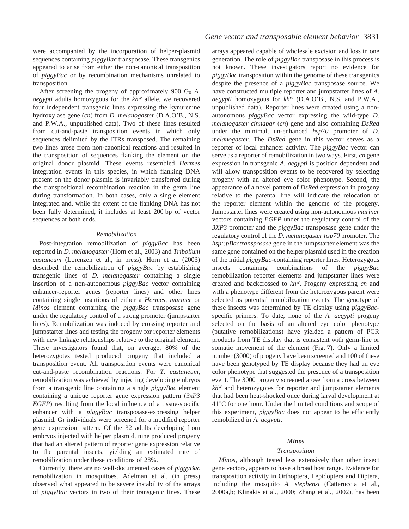were accompanied by the incorporation of helper-plasmid sequences containing *piggyBac* transposase. These transgenics appeared to arise from either the non-canonical transposition of *piggyBac* or by recombination mechanisms unrelated to transposition.

After screening the progeny of approximately 900 G<sub>0</sub> A. *aegypti* adults homozygous for the *khw* allele, we recovered four independent transgenic lines expressing the kynurenine hydroxylase gene (*cn*) from *D. melanogaster* (D.A.O'B., N.S. and P.W.A., unpublished data). Two of these lines resulted from cut-and-paste transposition events in which only sequences delimited by the ITRs transposed. The remaining two lines arose from non-canonical reactions and resulted in the transposition of sequences flanking the element on the original donor plasmid. These events resembled *Hermes* integration events in this species, in which flanking DNA present on the donor plasmid is invariably transferred during the transpositional recombination reaction in the germ line during transformation. In both cases, only a single element integrated and, while the extent of the flanking DNA has not been fully determined, it includes at least 200 bp of vector sequences at both ends.

### *Remobilization*

Post-integration remobilization of *piggyBac* has been reported in *D. melanogaster* (Horn et al., 2003) and *Tribolium castaneum* (Lorenzen et al., in press). Horn et al. (2003) described the remobilization of *piggyBac* by establishing transgenic lines of *D. melanogaster* containing a single insertion of a non-autonomous *piggyBac* vector containing enhancer-reporter genes (reporter lines) and other lines containing single insertions of either a *Hermes*, *mariner* or *Minos* element containing the *piggyBac* transposase gene under the regulatory control of a strong promoter (jumpstarter lines). Remobilization was induced by crossing reporter and jumpstarter lines and testing the progeny for reporter elements with new linkage relationships relative to the original element. These investigators found that, on average, 80% of the heterozygotes tested produced progeny that included a transposition event. All transposition events were canonical cut-and-paste recombination reactions. For *T. castaneum*, remobilization was achieved by injecting developing embryos from a transgenic line containing a single *piggyBac* element containing a unique reporter gene expression pattern (*3xP3 EGFP*) resulting from the local influence of a tissue-specific enhancer with a *piggyBac* transposase-expressing helper plasmid. G1 individuals were screened for a modified reporter gene expression pattern. Of the 32 adults developing from embryos injected with helper plasmid, nine produced progeny that had an altered pattern of reporter gene expression relative to the parental insects, yielding an estimated rate of remobilization under these conditions of 28%.

Currently, there are no well-documented cases of *piggyBac* remobilization in mosquitoes. Adelman et al. (in press) observed what appeared to be severe instability of the arrays of *piggyBac* vectors in two of their transgenic lines. These

arrays appeared capable of wholesale excision and loss in one generation. The role of *piggyBac* transposase in this process is not known. These investigators report no evidence for *piggyBac* transposition within the genome of these transgenics despite the presence of a *piggyBac* transposase source. We have constructed multiple reporter and jumpstarter lines of *A. aegypti* homozygous for *kh<sup>w</sup>* (D.A.O'B., N.S. and P.W.A., unpublished data). Reporter lines were created using a nonautonomous *piggyBac* vector expressing the wild-type *D. melanogaster cinnabar* (*cn*) gene and also containing *DsRed* under the minimal, un-enhanced *hsp70* promoter of *D. melanogaster*. The *DsRed* gene in this vector serves as a reporter of local enhancer activity. The *piggyBac* vector can serve as a reporter of remobilization in two ways. First, *cn* gene expression in transgenic *A. aegypti* is position dependent and will allow transposition events to be recovered by selecting progeny with an altered eye color phenotype. Second, the appearance of a novel pattern of *DsRed* expression in progeny relative to the parental line will indicate the relocation of the reporter element within the genome of the progeny. Jumpstarter lines were created using non-autonomous *mariner* vectors containing *EGFP* under the regulatory control of the *3XP3* promoter and the *piggyBac* transposase gene under the regulatory control of the *D. melanogaster hsp70* promoter. The *hsp::pBactransposase* gene in the jumpstarter element was the same gene contained on the helper plasmid used in the creation of the initial *piggyBac*-containing reporter lines. Heterozygous insects containing combinations of the *piggyBac* remobilization reporter elements and jumpstarter lines were created and backcrossed to *khw*. Progeny expressing *cn* and with a phenotype different from the heterozygous parent were selected as potential remobilization events. The genotype of these insects was determined by TE display using *piggyBac*specific primers. To date, none of the *A. aegypti* progeny selected on the basis of an altered eye color phenotype (putative remobilizations) have yielded a pattern of PCR products from TE display that is consistent with germ-line or somatic movement of the element (Fig. 7). Only a limited number (3000) of progeny have been screened and 100 of these have been genotyped by TE display because they had an eye color phenotype that suggested the presence of a transposition event. The 3000 progeny screened arose from a cross between *khw* and heterozygotes for reporter and jumpstarter elements that had been heat-shocked once during larval development at 41°C for one hour. Under the limited conditions and scope of this experiment, *piggyBac* does not appear to be efficiently remobilized in *A. aegypti*.

## *Minos*

#### *Transposition*

*Minos*, although tested less extensively than other insect gene vectors, appears to have a broad host range. Evidence for transposition activity in Orthoptera, Lepidoptera and Diptera, including the mosquito *A. stephensi* (Catteruccia et al., 2000a,b; Klinakis et al., 2000; Zhang et al., 2002), has been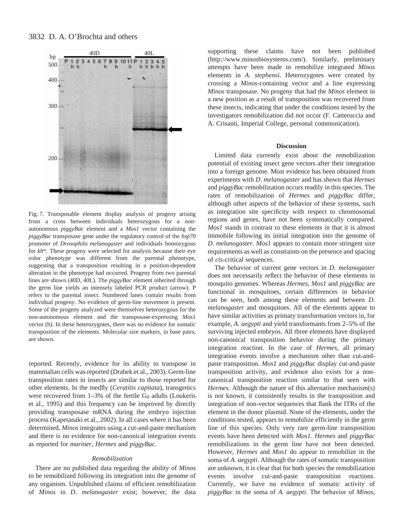

Fig. 7. Transposable element display analysis of progeny arising from a cross between individuals heterozygous for a nonautonomous *piggyBac* element and a *Mos1* vector containing the *piggyBac* transposase gene under the regulatory control of the *hsp70* promoter of *Drosophila melanogaster* and individuals homozygous for *khw*. These progeny were selected for analysis because their eye color phenotype was different from the parental phenotype, suggesting that a transposition resulting in a position-dependent alteration in the phenotype had occurred. Progeny from two parental lines are shown (40D, 40L). The *piggyBac* element inherited through the germ line yields an intensely labeled PCR product (arrow). P refers to the parental insect. Numbered lanes contain results from individual progeny. No evidence of germ-line movement is present. Some of the progeny analyzed were themselves heterozygous for the non-autonomous element and the transposase-expressing *Mos1* vector (h). In these heterozygotes, there was no evidence for somatic transposition of the elements. Molecular size markers, in base pairs, are shown.

reported. Recently, evidence for its ability to transpose in mammalian cells was reported (Drabek et al., 2003). Germ-line transposition rates in insects are similar to those reported for other elements. In the medfly (*Ceratitis capitata*), transgenics were recovered from  $1-3\%$  of the fertile G<sub>0</sub> adults (Loukeris et al., 1995) and this frequency can be improved by directly providing transposase mRNA during the embryo injection process (Kapetanaki et al., 2002). In all cases where it has been determined, *Minos* integrates using a cut-and-paste mechanism and there is no evidence for non-canonical integration events as reported for *mariner*, *Hermes* and *piggyBac.*

## *Remobilization*

There are no published data regarding the ability of *Minos* to be remobilized following its integration into the genome of any organism. Unpublished claims of efficient remobilization of *Minos* in *D*. *melanogaster* exist; however, the data

supporting these claims have not been published (http://www.minosbiosystems.com/). Similarly, preliminary attempts have been made to remobilize integrated *Minos* elements in *A. stephensi*. Heterozygotes were created by crossing a *Minos*-containing vector and a line expressing *Minos* transposase. No progeny that had the *Minos* element in a new position as a result of transposition was recovered from these insects, indicating that under the conditions tested by the investigators remobilization did not occur (F. Catteruccia and A. Crisanti, Imperial College, personal communication).

### **Discussion**

Limited data currently exist about the remobilization potential of existing insect gene vectors after their integration into a foreign genome. Most evidence has been obtained from experiments with *D*. *melanogaster* and has shown that *Hermes* and *piggyBac* remobilization occurs readily in this species. The rates of remobilization of *Hermes* and *piggyBac* differ, although other aspects of the behavior of these systems, such as integration site specificity with respect to chromosomal regions and genes, have not been systematically compared. *Mos1* stands in contrast to these elements in that it is almost immobile following its initial integration into the genome of *D*. *melanogaster*. *Mos1* appears to contain more stringent size requirements as well as constraints on the presence and spacing of *cis*-critical sequences.

The behavior of current gene vectors in *D. melanogaster* does not necessarily reflect the behavior of these elements in mosquito genomes. Whereas *Hermes*, *Mos1* and *piggyBac* are functional in mosquitoes, certain differences in behavior can be seen, both among these elements and between *D. melanogaster* and mosquitoes. All of the elements appear to have similar activities as primary transformation vectors in, for example, *A. aegypti* and yield transformants from 2–5% of the surviving injected embryos. All three elements have displayed non-canonical transposition behavior during the primary integration reaction. In the case of *Hermes*, all primary integration events involve a mechanism other than cut-andpaste transposition. *Mos1* and *piggyBac* display cut-and-paste transposition activity, and evidence also exists for a noncanonical transposition reaction similar to that seen with *Hermes*. Although the nature of this alternative mechanism(s) is not known, it consistently results in the transposition and integration of non-vector sequences that flank the ITRs of the element in the donor plasmid. None of the elements, under the conditions tested, appears to remobilize efficiently in the germ line of this species. Only very rare germ-line transposition events have been detected with *Mos1*. *Hermes* and *piggyBac* remobilizations in the germ line have not been detected. However, *Hermes* and *Mos1* do appear to remobilize in the soma of *A. aegypti*. Although the rates of somatic transposition are unknown, it is clear that for both species the remobilization events involve cut-and-paste transposition reactions. Currently, we have no evidence of somatic activity of *piggyBac* in the soma of *A. aegypti*. The behavior of *Minos*,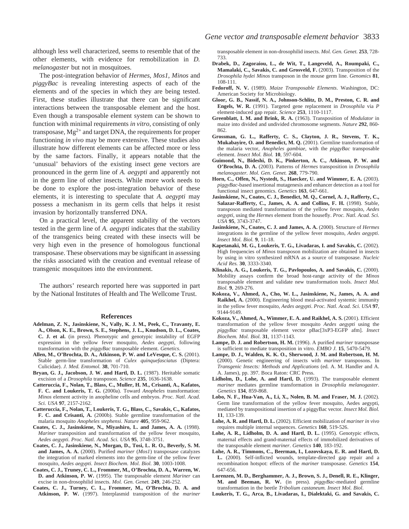although less well characterized, seems to resemble that of the other elements, with evidence for remobilization in *D. melanogaster* but not in mosquitoes.

The post-integration behavior of *Hermes*, *Mos1*, *Minos* and *piggyBac* is revealing interesting aspects of each of the elements and of the species in which they are being tested. First, these studies illustrate that there can be significant interactions between the transposable element and the host. Even though a transposable element system can be shown to function with minimal requirements *in vitro*, consisting of only transposase,  $Mg^{2+}$  and target DNA, the requirements for proper functioning *in vivo* may be more extensive. These studies also illustrate how different elements can be affected more or less by the same factors. Finally, it appears notable that the 'unusual' behaviors of the existing insect gene vectors are pronounced in the germ line of *A. aegypti* and apparently not in the germ line of other insects. While more work needs to be done to explore the post-integration behavior of these elements, it is interesting to speculate that *A. aegypti* may possess a mechanism in its germ cells that helps it resist invasion by horizontally transferred DNA.

On a practical level, the apparent stability of the vectors tested in the germ line of *A. aegypti* indicates that the stability of the transgenics being created with these insects will be very high even in the presence of homologous functional transposase. These observations may be significant in assessing the risks associated with the creation and eventual release of transgenic mosquitoes into the environment.

The authors' research reported here was supported in part by the National Institutes of Health and The Wellcome Trust.

#### **References**

- **Adelman, Z. N., Jasinskiene, N., Vally, K. J. M., Peek, C., Travanty, E. A., Olson, K. E., Brown, S. E., Stephens, J. L., Knudson, D. L., Coates, C. J. et al.** (in press). Phenotypic and genotypic instability of EGFP expression in the yellow fever mosquito, *Aedes aegypti*, following transformation with the *piggyBac* transposable element. *Genetics*.
- **Allen, M., O'Brochta, D. A., Atkinson, P. W. and LeVesque, C. S.** (2001). Stable germ-line transformation of *Culex quinquefasciatus* (Diptera: Culicidae). *J. Med. Entomol.* **38**, 701-710.
- Bryan, G. J., Jacobson, J. W. and Hartl, D. L. (1987). Heritable somatic excision of a *Drosophila* transposon. *Science* **235**, 1636-1638.
- **Catteruccia, F., Nolan, T., Blass, C., Muller, H. M., Crisanti, A., Kafatos, F. C. and Loukeris, T. G.** (2000a). Toward *Anopheles* transformation: *Minos* element activity in anopheline cells and embryos. *Proc. Natl. Acad. Sci. USA* **97**, 2157-2162.
- **Catteruccia, F., Nolan, T., Loukeris, T. G., Blass, C., Savakis, C., Kafatos, F. C. and Crisanti, A.** (2000b). Stable germline transformation of the malaria mosquito *Anopheles stephensi*. *Nature* **405**, 959-962.
- **Coates, C. J., Jasinskiene, N., Miyashiro, L. and James, A. A.** (1998). *Mariner* transposition and transformation of the yellow fever mosquito, *Aedes aegypti*. *Proc. Natl. Acad. Sci. USA* **95**, 3748-3751.
- **Coates, C. J., Jasinskiene, N., Morgan, D., Tosi, L. R. O., Beverly, S. M. and James, A. A.** (2000). Purified *mariner* (*Mos1*) transposase catalyzes the integration of marked elements into the germ-line of the yellow fever mosquito, *Aedes aegypti*. *Insect Biochem. Mol. Biol.* **30**, 1003-1008.
- **Coates, C. J., Truney, C. L., Frommer, M., O'Brochta, D. A., Warren, W. D. and Atkinson, P. W.** (1995). The transposable element *Mariner* can excise in non-drosophilid insects. *Mol. Gen. Genet.* **249**, 246-252.
- **Coates, C. J., Turney, C. L., Frommer, M., O'Brochta, D. A. and Atkinson, P. W.** (1997). Interplasmid transposition of the *mariner*

transposable element in non-drosophilid insects. *Mol. Gen. Genet.* **253**, 728- 733.

- **Drabek, D., Zagoraiou, L., de Wit, T., Langeveld, A., Roumpaki, C., Mamalaki, C., Savakis, C. and Grosveld, F.** (2003). Transposition of the *Drosophila hydei Minos* transposon in the mouse germ line. *Genomics* **81**, 108-111.
- **Fedoroff, N. V.** (1989). *Maize Transposable Elements*. Washington, DC: American Society for Microbiology.
- **Gloor, G. B., Nassif, N. A., Johnson-Schlitz, D. M., Preston, C. R. and Engels, W. R.** (1991). Targeted gene replacement in *Drosophila* via *P* element-induced gap repair. *Science* **253**, 1110-1117.
- **Greenblatt, I. M. and Brink, R. A.** (1963). Transposition of *Modulator* in maize into divided and undivided chromosome segments. *Nature* **292**, 860- 862.
- **Grossman, G. L., Rafferty, C. S., Clayton, J. R., Stevens, T. K., Mukabayire, O. and Benedict, M. Q.** (2001). Germline transformation of the malaria vector, *Anopheles gambiae*, with the *piggyBac* transposable element. *Insect Mol. Biol.* **10**, 597-604.
- **Guimond, N., Bideshi, D. K., Pinkerton, A. C., Atkinson, P. W. and O'Brochta, D. A.** (2003). Patterns of *Hermes* transposition in *Drosophila melanogaster. Mol. Gen. Genet.* **268**, 779-790.
- **Horn, C., Offen, N., Nystedt, S., Haecker, U. and Wimmer, E. A.** (2003). *piggyBac*-based insertional mutagenesis and enhancer detection as a tool for functional insect genomics. *Genetics* **163**, 647-661.
- **Jasinskiene, N., Coates, C. J., Benedict, M. Q., Cornel, A. J., Rafferty, C.,** Salazar-Rafferty, C., James, A. A. and Collins, F. H. (1998). Stable, transposon mediated transformation of the yellow fever mosquito, *Aedes aegypti*, using the *Hermes* element from the housefly. *Proc. Natl. Acad. Sci. USA* **95**, 3743-3747.
- **Jasinskiene, N., Coates, C. J. and James, A. A.** (2000). Structure of *Hermes* integrations in the germline of the yellow fever mosquito, *Aedes aegypti*. *Insect Mol. Biol.* **9**, 11-18.
- **Kapetanaki, M. G., Loukeris, T. G., Livadaras, I. and Savakis, C.** (2002). High frequencies of *Minos* transposon mobilization are obtained in insects by using in vitro synthesized mRNA as a source of transposase. *Nucleic Acid Res.* **30**, 3333-3340.
- **Klinakis, A. G., Loukeris, T. G., Pavlopoulos, A. and Savakis, C.** (2000). Mobility assays confirm the broad host-range activity of the *Minos* transposable element and validate new transformation tools. *Insect Mol. Biol.* **9**, 269-276.
- **Kokoza, V., Ahmed, A., Cho, W. L., Jasinskiene, N., James, A. A. and Raikhel, A.** (2000). Engineering blood meal-activated systemic immunity in the yellow fever mosquito, *Aedes aegypti*. *Proc. Natl. Acad. Sci. USA* **97**, 9144-9149.
- **Kokoza, V., Ahmed, A., Wimmer, E. A. and Raikhel, A. S.** (2001). Efficient transformation of the yellow fever mosquito *Aedes aegypti* using the *piggyBac* transposable element vector pBac[3xP3-EGFP afm]. *Insect Biochem. Mol. Biol.* **31**, 1137-1143.
- **Lampe, D. J. and Robertson, H. M.** (1996). A purified *mariner* transposase is sufficient to mediate transposition in vitro. *EMBO J.* **15**, 5470-5479.
- **Lampe, D. J., Walden, K. K. O., Sherwood, J. M. and Robertson, H. M.** (2000). Genetic engineering of insects with *mariner* transposons. In *Transgenic Insects: Methods and Applications* (ed. A. M. Handler and A. A. James), pp. 397. Boca Raton: CRC Press.
- **Lidholm, D., Lohe, A. and Hartl, D.** (1993). The transposable element *mariner* mediates germline transformation in *Drosophila melanogaster*. *Genetics* **134**, 859-868.
- Lobo, N. F., Hua-Van, A., Li, X., Nolen, B. M. and Fraser, M. J. (2002). Germ line transformation of the yellow fever mosquito, Aedes aegypti, mediated by transpositional insertion of a piggyBac vector. *Insect Mol. Biol.* **11**, 133-139.
- **Lohe, A. R. and Hartl, D. L.** (2002). Efficient mobilization of *mariner in vivo* requires multiple internal sequences. *Genetics* **160**, 519-526.
- Lohe, A. R., Lidholm, D. A. and Hartl, D. L. (1995). Genotypic effects, maternal effects and grand-maternal effects of immobilized derivatives of the transposable element *mariner*. *Genetics* **140**, 183-192.
- **Lohe, A. R., Timmons, C., Beerman, I., Lozovskaya, E. R. and Hartl, D. L.** (2000). Self-inflicted wounds, template-directed gap repair and a recombination hotspot: effects of the *mariner* transposase. *Genetics* **154**, 647-656.
- **Lorenzen, M. D., Berghammer, A. J., Brown, S. J., Denell, R. E., Klinger, M. and Beeman, R. W.** (in press). *piggyBac*-mediated germline transformation in the beetle *Tribolium castaneum. Insect Mol. Biol*.
- **Loukeris, T. G., Arca, B., Livadaras, I., Dialektaki, G. and Savakis, C.**